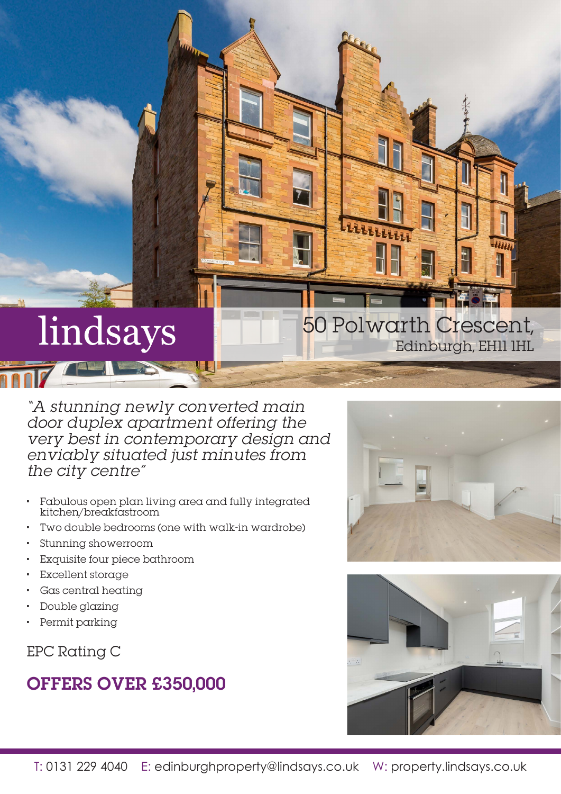# lindsays

"A stunning newly converted main door duplex apartment offering the very best in contemporary design and enviably situated just minutes from the city centre"

- Fabulous open plan living area and fully integrated kitchen/breakfastroom
- Two double bedrooms (one with walk-in wardrobe)
- Stunning showerroom
- Exquisite four piece bathroom
- Excellent storage
- Gas central heating
- Double glazing
- Permit parking

EPC Rating C

## OFFERS OVER £350,000



Edinburgh, EH11 1HL

50 Polwarth Crescent,

ttu